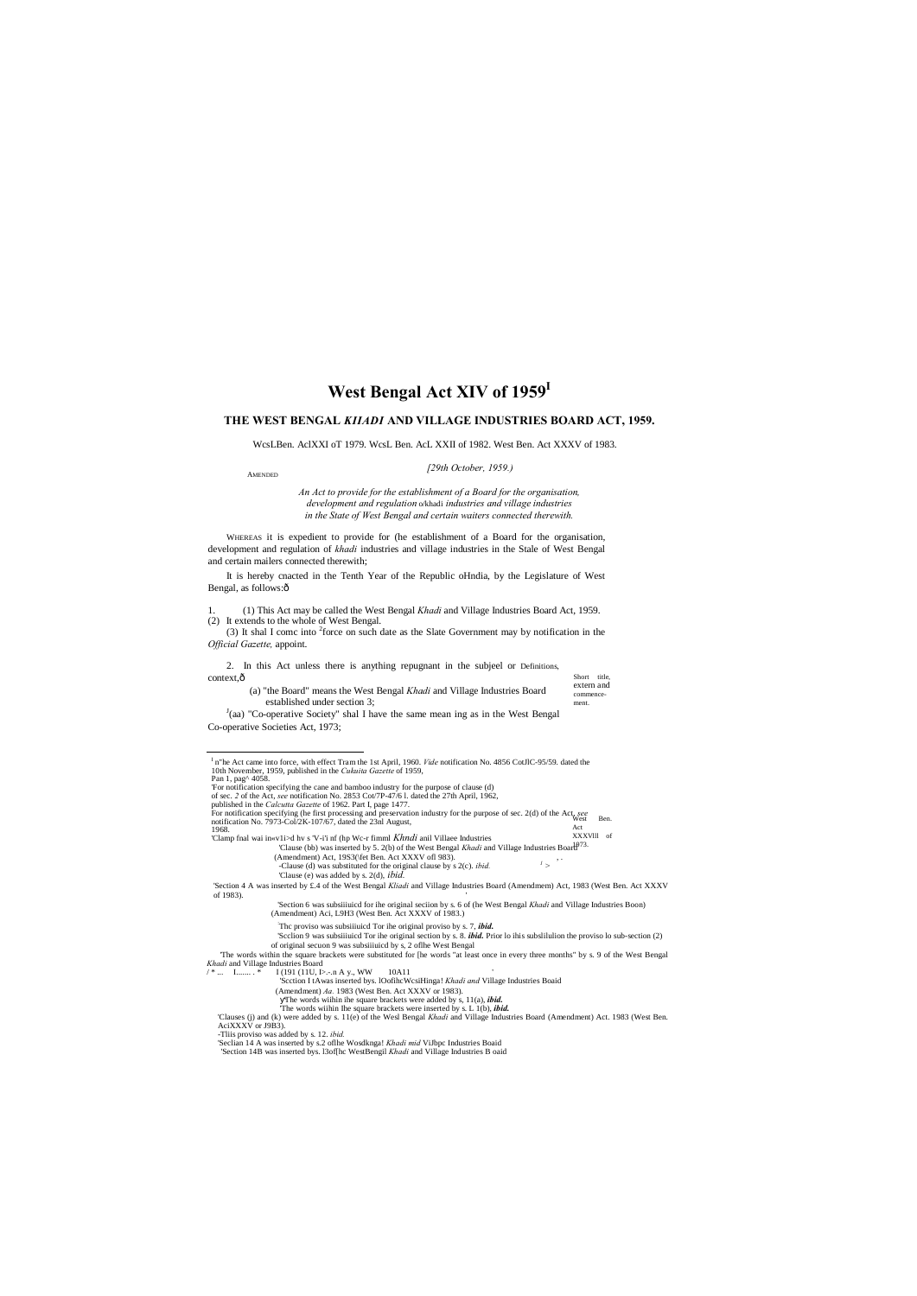#### AMENDED

Short title, extern and commencement.

# **West Bengal Act XIV of 1959I**

## **THE WEST BENGAL** *KIIADI* **AND VILLAGE INDUSTRIES BOARD ACT, 1959.**

WcsLBen. AclXXI oT 1979. WcsL Ben. AcL XXII of 1982. West Ben. Act XXXV of 1983.

#### *[29th October, 1959.)*

It is hereby cnacted in the Tenth Year of the Republic oHndia, by the Legislature of West Bengal, as follows: $\hat{o}$ 

*An Act to provide for the establishment of a Board for the organisation, development and regulation* o/khadi *industries and village industries in the State of West Bengal and certain waiters connected therewith.*

(3) It shal I comc into  $2$  force on such date as the Slate Government may by notification in the *Official Gazette,* appoint.

2. In this Act unless there is anything repugnant in the subjeel or Definitions, context, $\hat{o}$ 

WHEREAS it is expedient to provide for (he establishment of a Board for the organisation, development and regulation of *khadi* industries and village industries in the Stale of West Bengal and certain mailers connected therewith;

 $J$ (aa) "Co-operative Society" shal I have the same mean ing as in the West Bengal Co-operative Societies Act, 1973;

1. (1) This Act may be called the West Bengal *Khadi* and Village Industries Board Act, 1959. (2) It extends to the whole of West Bengal.

- XXXVlll of 'Clause (bb) was inserted by 5. 2(b) of the West Bengal *Khadi* and Village Industries Board<sup>973.</sup> 'Clamp fnal wai in«v1i>d hv s 'V-i'i nf (hp Wc-r fimml *Khndi* anil Villaee Industries
	- (Amendment) Act, 19S3(\fet Ben. Act XXXV of 983).<br>
	Tlanse (d) was substituted for the original clause by s 2(c), *ibid.* 
		- -Clause (d) was substituted for the original clause by s 2(c). *ibid.*  $1 >$
		- 'Clause (e) was added by s. 2(d), *ibid.*

(a) "the Board" means the West Bengal *Khadi* and Village Industries Board established under section 3;

- : Thc proviso was subsiiiuicd Tor ihe original proviso by s. 7, *ibid.*
- 'Scclion 9 was subsiiiuicd Tor ihe original section by s. 8. *ibid.* Prior lo ihis subslilulion the proviso lo sub-section (2)
- of original secuon 9 was subsiiiuicd by s, 2 oflhe West Bengal 'The words within the square brackets were substituted for [he words "at least once in every three months" by s. 9 of the West Bengal *Khadi* and Village Industries Board
- $I(191 (11U, I)-n A y, WW \t 10A11$

- of sec. *2* of the Act, *see* notification No. 2853 Cot/7P-47/6 l. dated the 27th April, 1962,
- 

'Scction I tAwas inserted bys. lOofihcWcsiHinga! *Khadi and* Village Industries Boaid

(Amendment) *Aa.* 1983 (West Ben. Act XXXV or 1983).

The words wiihin ihe square brackets were added by s, 11(a), *ibid.*

'The words wiihin Ihe square brackets were inserted by s. L 1(b), *ibid.*

'Clauses (j) and (k) were added by s. 11(e) of the Wesl Bengal *Khadi* and Village Industries Board (Amendment) Act. 1983 (West Ben.<br>AciXXXV or J9B3).

-Tliis proviso was added by s. 12. *ibid.*<br>'Seclian 14 A was inserted by s.2 oflhe Wosdknga! *Khadi mid* ViJbpc Industries Boaid<br>'Section 14B was inserted bys. 13of[hc WestBengil *Khadi* and Village Industries B oaid

West Ben. Act published in the *Calcutta Gazette* of 1962. Part I, page 1477.<br>For notification specifying (he first processing and preservation industry for the purpose of sec. 2(d) of the Act see<br>notification No. 7973-Col/2K-107/67, da 1968.

<sup>&#</sup>x27;Section 4 A was inserted by £.4 of the West Bengal *Kliadi* and Village Industries Board (Amendmem) Act, 1983 (West Ben. Act XXXV of 1983).

I n"he Act came into force, with effect Tram the 1st April, 1960. *Vide* notification No. 4856 CotJlC-95/59. dated the 10th November, 1959, published in the *Cukuita Gazette* of 1959, Pan 1, pag^ 4058. 'For notification specifying the cane and bamboo industry for the purpose of clause (d)

<sup>&#</sup>x27;Section 6 was subsiiiuicd for ihe original seciion by s. 6 of (he West Bengal *Khadi* and Village Industries Boon) (Amendment) Aci, L9H3 (West Ben. Act XXXV of 1983.)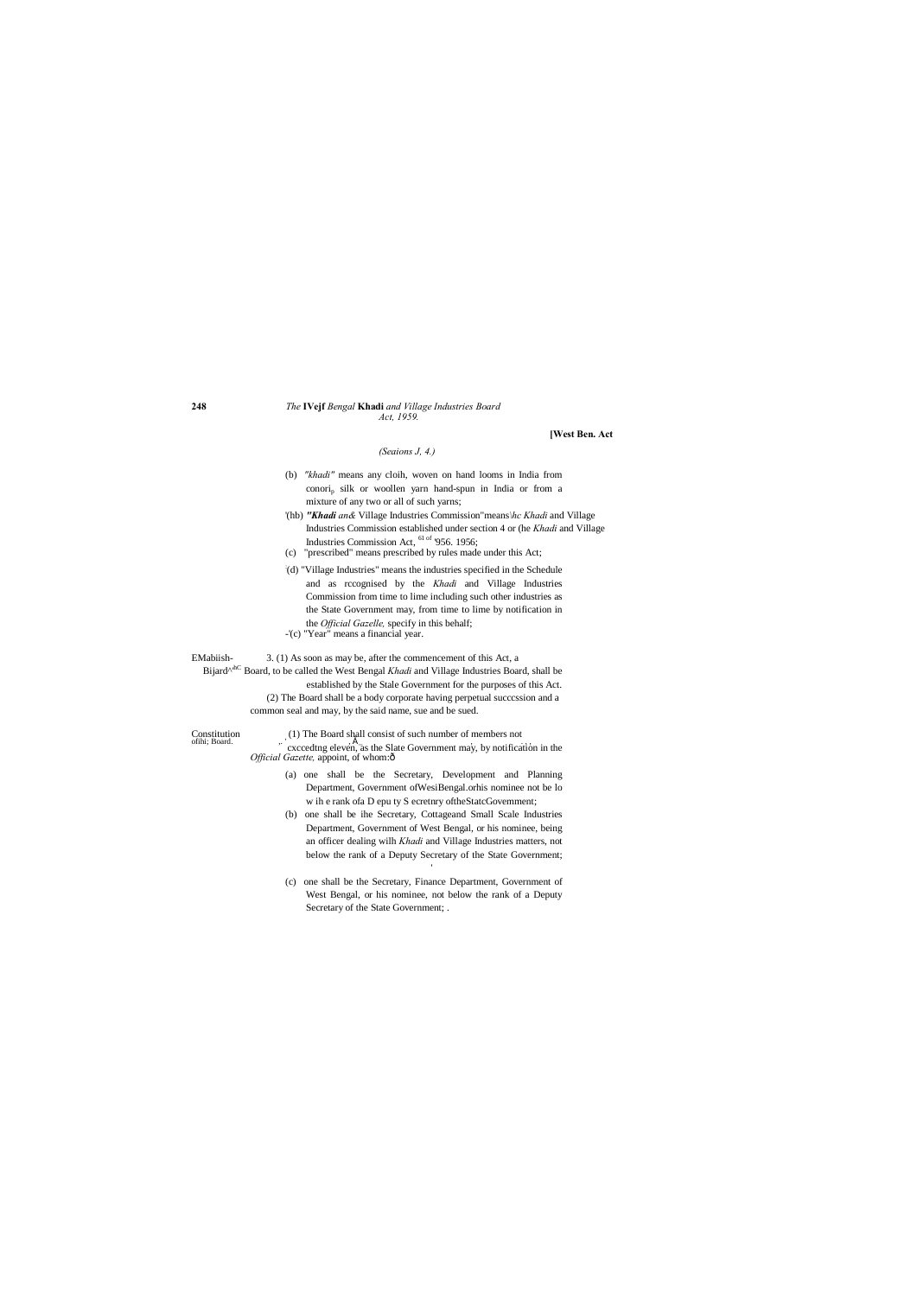#### **248** *The* **IVejf** *Bengal* **Khadi** *and Village Industries Board Act, 1959.*

#### **[West Ben. Act**

## *(Seaions J, 4.)*

## (b) *"khadi"* means any cloih, woven on hand looms in India from conorip silk or woollen yarn hand-spun in India or from a mixture of any two or all of such yarns;

- '(hb) *"Khadi an&* Village Industries Commission"means*\hc Khadi* and Village Industries Commission established under section 4 or (he *Khadi* and Village Industries Commission Act, 61 of '956. 1956;
- (c) "prescribed" means prescribed by rules made under this Act;
- : (d) "Village Industries" means the industries specified in the Schedule and as rccognised by the *Khadi* and Village Industries Commission from time to lime including such other industries as the State Government may, from time to lime by notification in the *Official Gazelle,* specify in this behalf;
- -'(c) "Year" means a financial year.

EMabiish- 3. (1) As soon as may be, after the commencement of this Act, a Bijard<sup>^hC</sup> Board, to be called the West Bengal *Khadi* and Village Industries Board, shall be established by the Stale Government for the purposes of this Act. (2) The Board shall be a body corporate having perpetual succcssion and a common seal and may, by the said name, sue and be sued.

Constitution (1) The Board shall consist of such number of members not of hi; Board. ,. ' cxccedtng eleven, as the Slate Government may, by notification in the *Official Gazette, appoint, of whom:*ô

- (a) one shall be the Secretary, Development and Planning Department, Government ofWesiBengal.orhis nominee not be lo w ih e rank ofa D epu ty S ecretnry oftheStatcGovemment;
- (b) one shall be ihe Secretary, Cottageand Small Scale Industries Department, Government of West Bengal, or his nominee, being an officer dealing wilh *Khadi* and Village Industries matters, not below the rank of a Deputy Secretary of the State Government;
- (c) one shall be the Secretary, Finance Department, Government of West Bengal, or his nominee, not below the rank of a Deputy Secretary of the State Government; .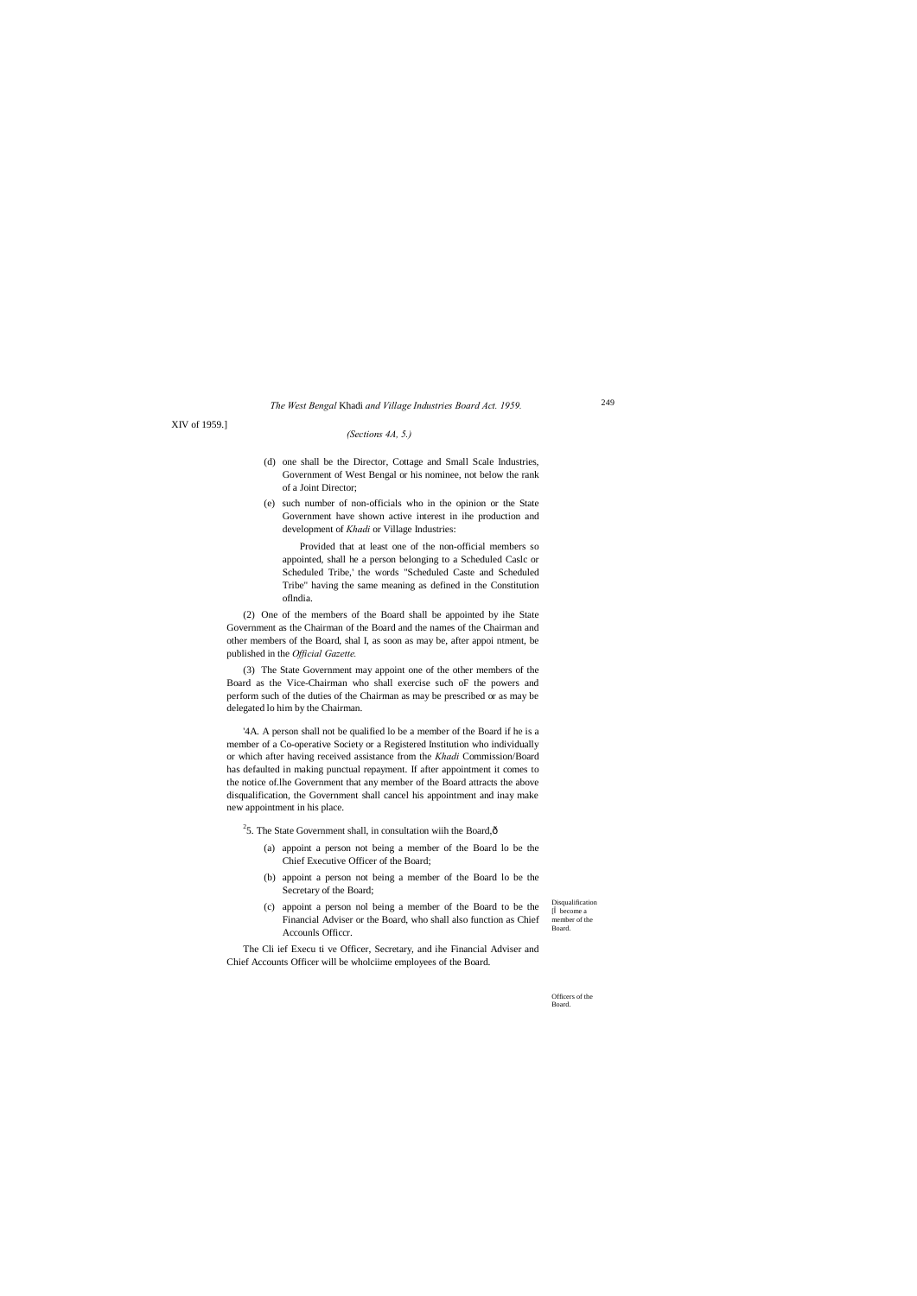Disqualification [ become a member of the Board.

Officers of the Board.

## *The West Bengal* Khadi *and Village Industries Board Act. 1959.*

XIV of 1959.]

#### *(Sections 4A, 5.)*

- (d) one shall be the Director, Cottage and Small Scale Industries, Government of West Bengal or his nominee, not below the rank of a Joint Director;
- (e) such number of non-officials who in the opinion or the State Government have shown active interest in ihe production and development of *Khadi* or Village Industries:

Provided that at least one of the non-official members so appointed, shall he a person belonging to a Scheduled Caslc or Scheduled Tribe,' the words "Scheduled Caste and Scheduled Tribe" having the same meaning as defined in the Constitution oflndia.

(2) One of the members of the Board shall be appointed by ihe State Government as the Chairman of the Board and the names of the Chairman and other members of the Board, shal I, as soon as may be, after appoi ntment, be published in the *Official Gazette.*

(3) The State Government may appoint one of the other members of the Board as the Vice-Chairman who shall exercise such oF the powers and perform such of the duties of the Chairman as may be prescribed or as may be delegated lo him by the Chairman.

'4A. A person shall not be qualified lo be a member of the Board if he is a member of a Co-operative Society or a Registered Institution who individually or which after having received assistance from the *Khadi* Commission/Board has defaulted in making punctual repayment. If after appointment it comes to the notice of.lhe Government that any member of the Board attracts the above disqualification, the Government shall cancel his appointment and inay make new appointment in his place.

<sup>2</sup>5. The State Government shall, in consultation wiih the Board, $\hat{\text{o}}$ 

- (a) appoint a person not being a member of the Board lo be the Chief Executive Officer of the Board;
- (b) appoint a person not being a member of the Board lo be the Secretary of the Board;
- (c) appoint a person nol being a member of the Board to be the Financial Adviser or the Board, who shall also function as Chief Accounls Officcr.

The Cli ief Execu ti ve Officer, Secretary, and ihe Financial Adviser and Chief Accounts Officer will be wholciime employees of the Board.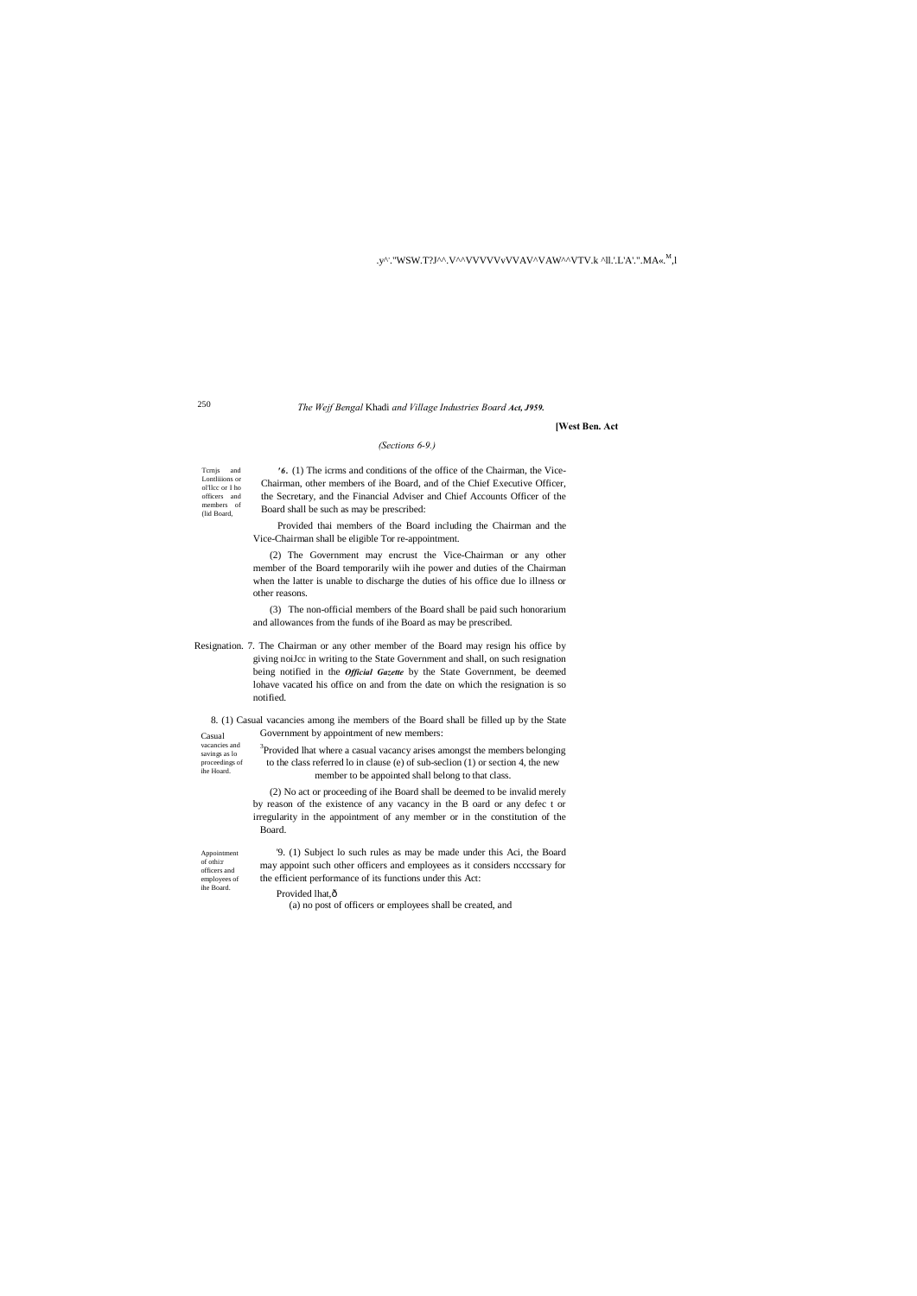#### .y^: "WSW.T?J^^.V^^VVVVVvVVAV^VAW^^VTV.k ^ll.'.L'A'.''.MA«.<sup>M</sup>,l

250

(lid Board,

vacancies and savings as lo proceedings of ihe Hoard.

Appointment of othi:r officers and employees of ihe Board.

#### *The Wejf Bengal* Khadi *and Village Industries Board Act, J959.*

Tcrnjs and Lontliiions or ol'llcc or I ho officers and members of *'6 .* (1) The icrms and conditions of the office of the Chairman, the Vice-Chairman, other members of ihe Board, and of the Chief Executive Officer, the Secretary, and the Financial Adviser and Chief Accounts Officer of the Board shall be such as may be prescribed:

## **[West Ben. Act**

## *(Sections 6-9.)*

Provided thai members of the Board including the Chairman and the Vice-Chairman shall be eligible Tor re-appointment.

Casual 8. (1) Casual vacancies among ihe members of the Board shall be filled up by the State Government by appointment of new members:

(2) The Government may encrust the Vice-Chairman or any other member of the Board temporarily wiih ihe power and duties of the Chairman when the latter is unable to discharge the duties of his office due lo illness or other reasons.

<sup>3</sup>Provided lhat where a casual vacancy arises amongst the members belonging to the class referred lo in clause (e) of sub-seclion (1) or section 4, the new member to be appointed shall belong to that class.

(3) The non-official members of the Board shall be paid such honorarium and allowances from the funds of ihe Board as may be prescribed.

Resignation. 7. The Chairman or any other member of the Board may resign his office by giving noiJcc in writing to the State Government and shall, on such resignation being notified in the *Official Gazette* by the State Government, be deemed lohave vacated his office on and from the date on which the resignation is so notified.

> (2) No act or proceeding of ihe Board shall be deemed to be invalid merely by reason of the existence of any vacancy in the B oard or any defec t or irregularity in the appointment of any member or in the constitution of the Board.

'9. (1) Subject lo such rules as may be made under this Aci, the Board may appoint such other officers and employees as it considers ncccssary for the efficient performance of its functions under this Act:

Provided lhat, $\hat{o}$ 

(a) no post of officers or employees shall be created, and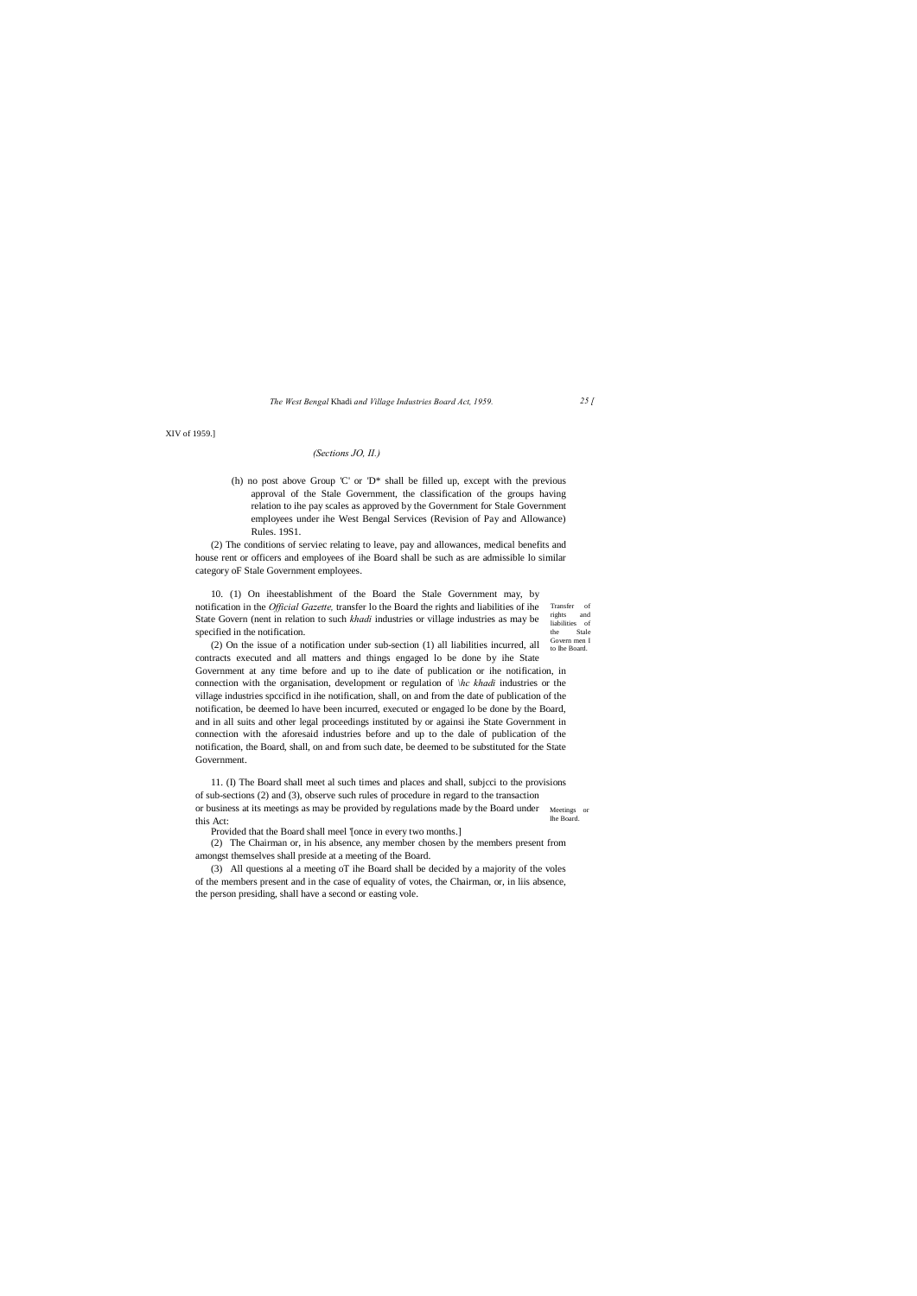rights and liabilities of the Stale Govern men I

*The West Bengal* Khadi *and Village Industries Board Act, 1959. 25 [*

XIV of 1959.]

#### *(Sections JO, II.)*

(h) no post above Group 'C' or 'D\* shall be filled up, except with the previous approval of the Stale Government, the classification of the groups having relation to ihe pay scales as approved by the Government for Stale Government employees under ihe West Bengal Services (Revision of Pay and Allowance) Rules. 19S1.

Transfer of 10. (1) On iheestablishment of the Board the Stale Government may, by notification in the *Official Gazette,* transfer lo the Board the rights and liabilities of ihe State Govern (nent in relation to such *khadi* industries or village industries as may be specified in the notification.

(2) The conditions of serviec relating to leave, pay and allowances, medical benefits and house rent or officers and employees of ihe Board shall be such as are admissible lo similar category oF Stale Government employees.

to Ihe Board. (2) On the issue of a notification under sub-section (1) all liabilities incurred, all contracts executed and all matters and things engaged lo be done by ihe State Government at any time before and up to ihe date of publication or ihe notification, in connection with the organisation, development or regulation of *\hc khadi* industries or the village industries spccificd in ihe notification, shall, on and from the date of publication of the notification, be deemed lo have been incurred, executed or engaged lo be done by the Board, and in all suits and other legal proceedings instituted by or againsi ihe State Government in connection with the aforesaid industries before and up to the dale of publication of the notification, the Board, shall, on and from such date, be deemed to be substituted for the State Government.

Meetings or Ihe Board. 11. (I) The Board shall meet al such times and places and shall, subjcci to the provisions of sub-sections (2) and (3), observe such rules of procedure in regard to the transaction or business at its meetings as may be provided by regulations made by the Board under this Act:

Provided that the Board shall meel '[once in every two months.]

(2) The Chairman or, in his absence, any member chosen by the members present from amongst themselves shall preside at a meeting of the Board.

(3) All questions al a meeting oT ihe Board shall be decided by a majority of the voles of the members present and in the case of equality of votes, the Chairman, or, in liis absence, the person presiding, shall have a second or easting vole.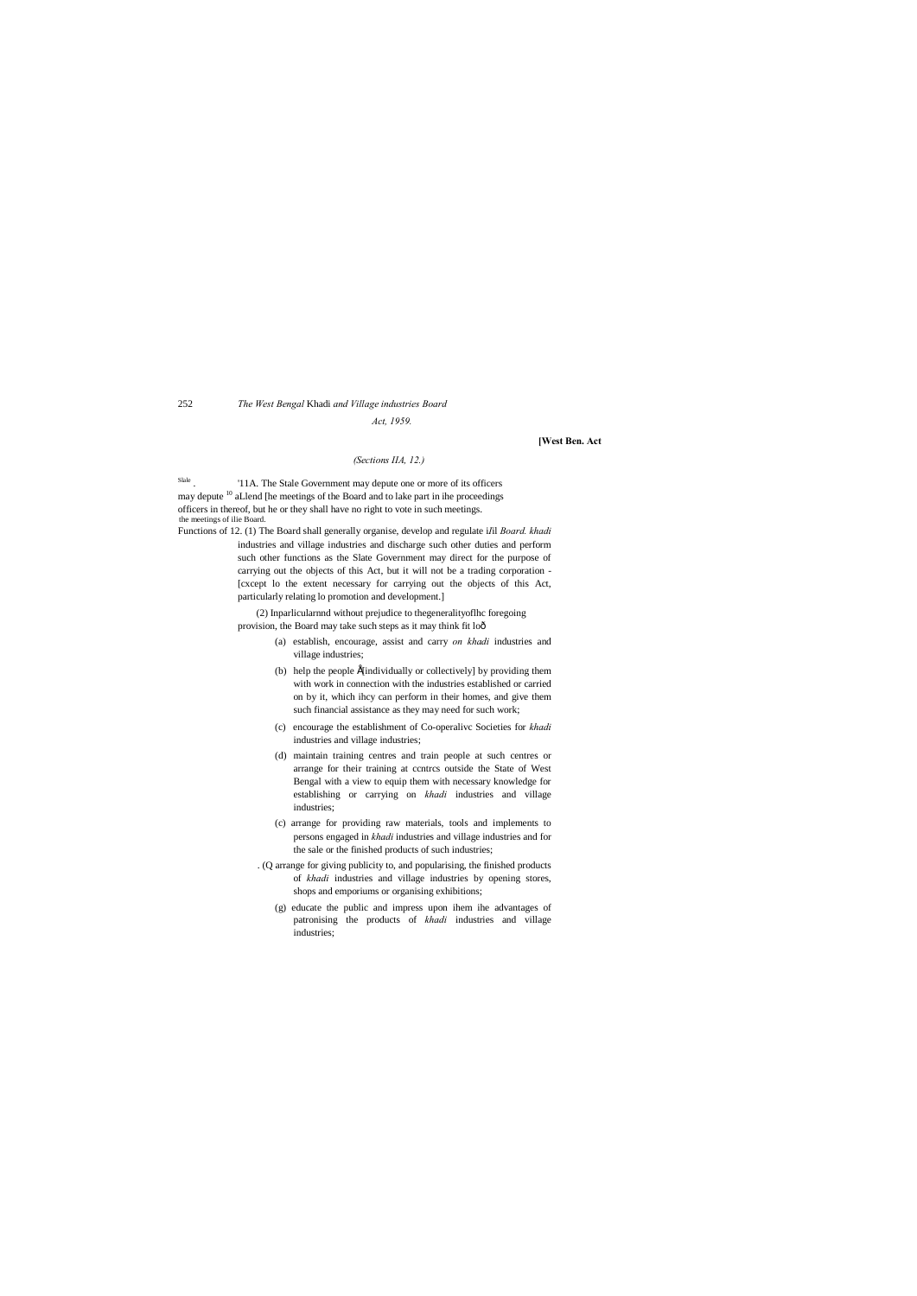## 252 *The West Bengal* Khadi *and Village industries Board Act, 1959.*

#### **[West Ben. Act**

#### *(Sections IIA, 12.)*

Slale . '11A. The Stale Government may depute one or more of its officers may depute  $10$  aLlend [he meetings of the Board and to lake part in ihe proceedings officers in thereof, but he or they shall have no right to vote in such meetings. the meetings of ilie Board.

Functions of 12. (1) The Board shall generally organise, develop and regulate i*I*il *Board. khadi* industries and village industries and discharge such other duties and perform such other functions as the Slate Government may direct for the purpose of carrying out the objects of this Act, but it will not be a trading corporation - [cxcept lo the extent necessary for carrying out the objects of this Act, particularly relating lo promotion and development.]

> (2) Inparlicularnnd without prejudice to thegeneralityoflhc foregoing provision, the Board may take such steps as it may think fit lo—

- (a) establish, encourage, assist and carry *on khadi* industries and village industries;
- (b) help the people Élindividually or collectively] by providing them with work in connection with the industries established or carried on by it, which ihcy can perform in their homes, and give them such financial assistance as they may need for such work;
- (c) encourage the establishment of Co-operalivc Societies for *khadi* industries and village industries;
- (d) maintain training centres and train people at such centres or arrange for their training at ccntrcs outside the State of West Bengal with a view to equip them with necessary knowledge for establishing or carrying on *khadi* industries and village industries;
- (c) arrange for providing raw materials, tools and implements to persons engaged in *khadi* industries and village industries and for the sale or the finished products of such industries;
- . (Q arrange for giving publicity to, and popularising, the finished products of *khadi* industries and village industries by opening stores, shops and emporiums or organising exhibitions;
	- (g) educate the public and impress upon ihem ihe advantages of patronising the products of *khadi* industries and village industries;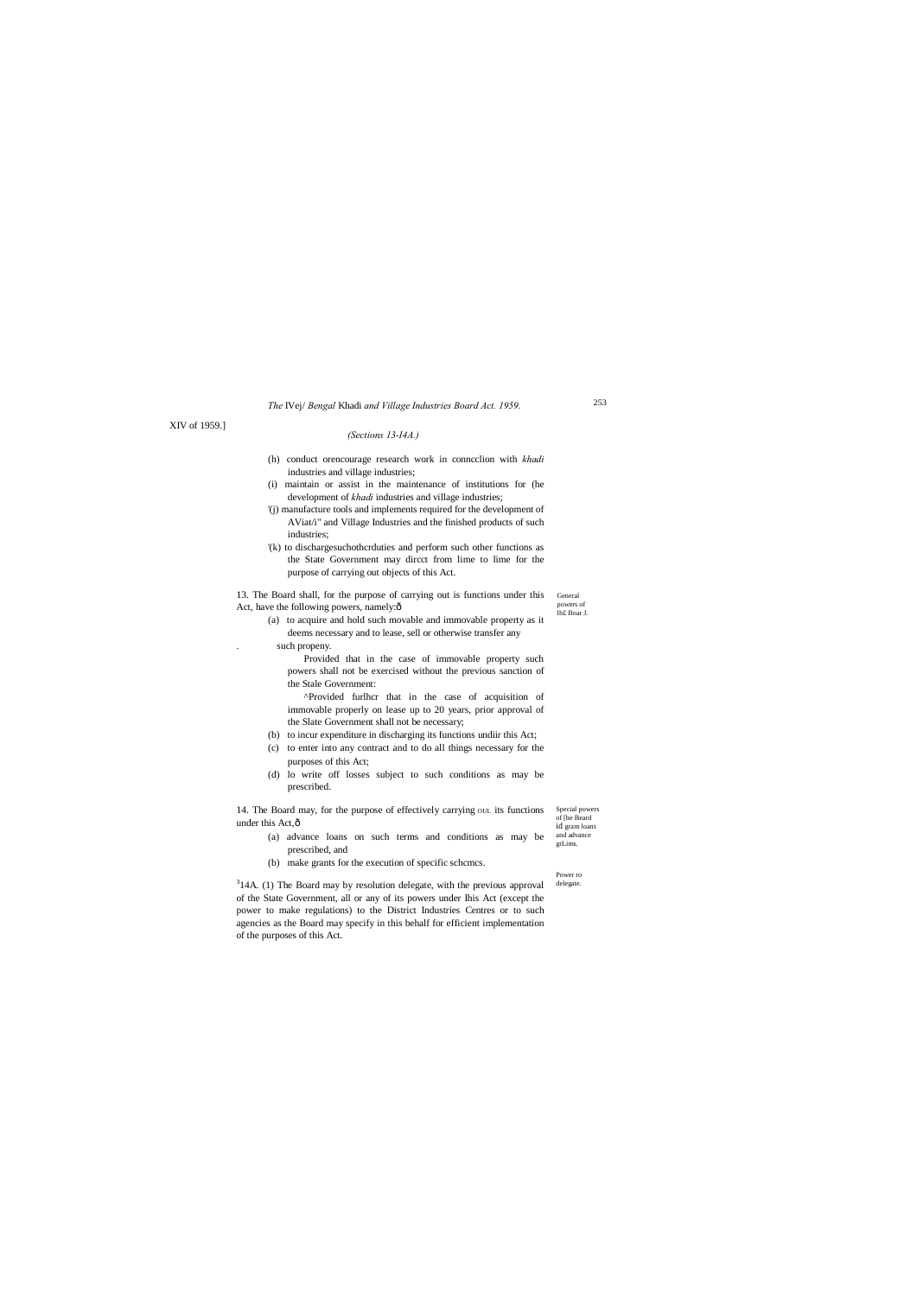Special powers id gram loans 14. The Board may, for the purpose of effectively carrying out its functions under this Act, ô

General powers of lh£ Boar J.

of [he Beard

## *The* IVej/ *Bengal* Khadi *and Village Industries Board Act. 1959.*

XIV of 1959.]

#### *(Sections 13-I4A.)*

13. The Board shall, for the purpose of carrying out is functions under this Act, have the following powers, namely: $\hat{o}$ 

- (h) conduct orencourage research work in conncclion with *khadi*  industries and village industries;
- (i) maintain or assist in the maintenance of institutions for (he development of *khadi* industries and village industries;
- '(j) manufacture tools and implements required for the development of AViat/i" and Village Industries and the finished products of such industries;
- '(k) to dischargesuchothcrduties and perform such other functions as the State Government may dircct from lime to lime for the purpose of carrying out objects of this Act.

- and advance grLims. (a) advance loans on such terms and conditions as may be prescribed, and
- (b) make grants for the execution of specific schcmcs.

(a) to acquire and hold such movable and immovable property as it deems necessary and to lease, sell or otherwise transfer any . such propeny.

Provided that in the case of immovable property such powers shall not be exercised without the previous sanction of the Stale Government:

Power ro delegate.  $314A$ . (1) The Board may by resolution delegate, with the previous approval of the State Government, all or any of its powers under Ihis Act (except the power to make regulations) to the District Industries Centres or to such agencies as the Board may specify in this behalf for efficient implementation of the purposes of this Act.

^Provided furlhcr that in the case of acquisition of immovable properly on lease up to 20 years, prior approval of the Slate Government shall not be necessary;

- (b) to incur expenditure in discharging its functions undiir this Act;
- (c) to enter into any contract and to do all things necessary for the purposes of this Act;
- (d) lo write off losses subject to such conditions as may be prescribed.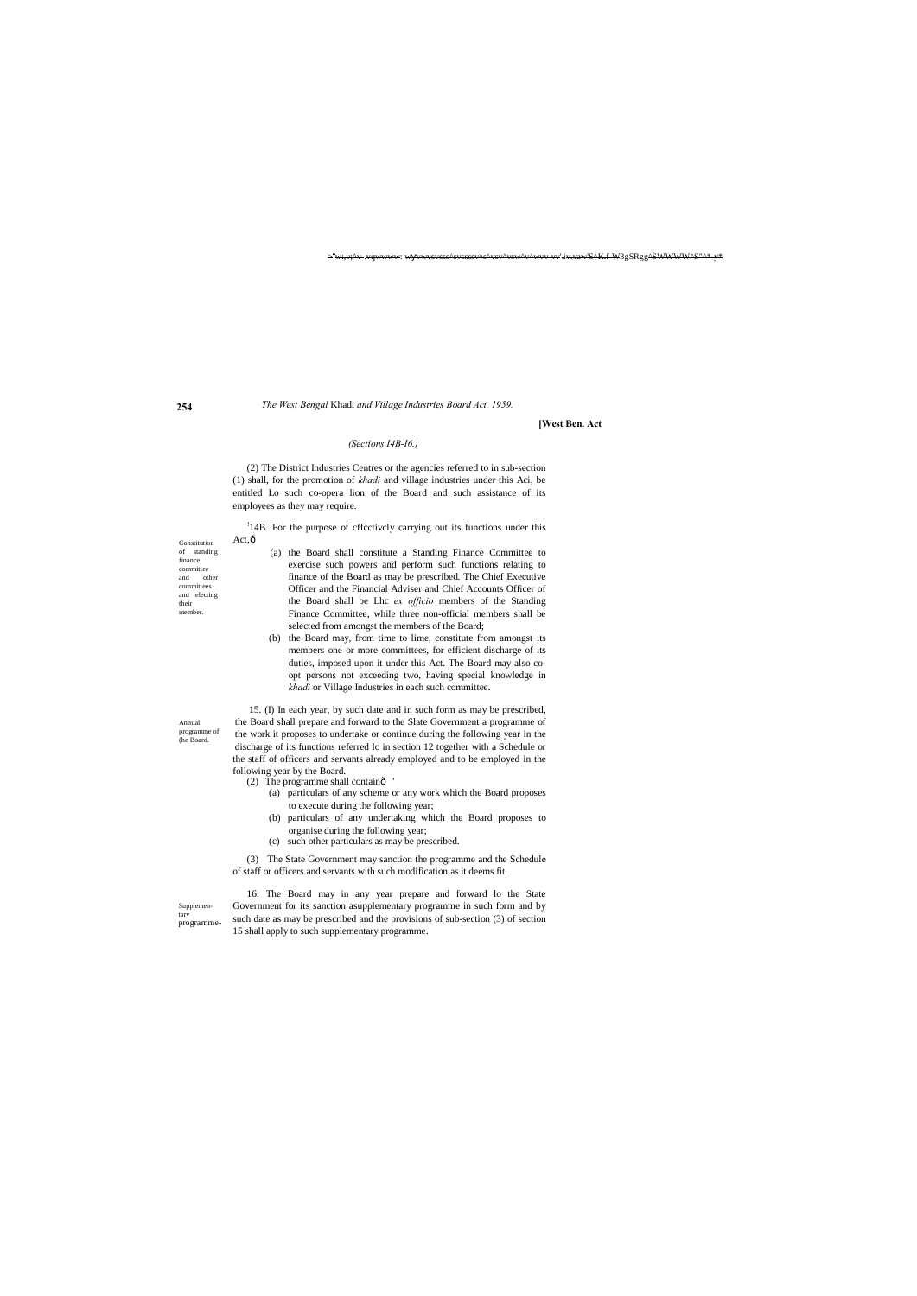$\succ^*$ v'S^<del>K.f W</del>3gSRgg^S<del>WWWW^S"^\* y\*</del>

**254**

Annual programme of (he Board.

Supplementary programme-

#### *The West Bengal* Khadi *and Village Industries Board Act. 1959.*

**[West Ben. Act**

#### *(Sections I4B-I6.)*

(2) The District Industries Centres or the agencies referred to in sub-section (1) shall, for the promotion of *khadi* and village industries under this Aci, be entitled Lo such co-opera lion of the Board and such assistance of its employees as they may require.

<sup>1</sup>14B. For the purpose of cffcctivcly carrying out its functions under this Act,ô

- Constitution of standing finance committee<br>and of other committees and electing their member.
- (a) the Board shall constitute a Standing Finance Committee to exercise such powers and perform such functions relating to finance of the Board as may be prescribed. The Chief Executive Officer and the Financial Adviser and Chief Accounts Officer of the Board shall be Lhc *ex officio* members of the Standing Finance Committee, while three non-official members shall be selected from amongst the members of the Board;
- (b) the Board may, from time to lime, constitute from amongst its members one or more committees, for efficient discharge of its duties, imposed upon it under this Act. The Board may also coopt persons not exceeding two, having special knowledge in *khadi* or Village Industries in each such committee.

- (2) The programme shall containô
	- (a) particulars of any scheme or any work which the Board proposes to execute during the following year;
	- (b) particulars of any undertaking which the Board proposes to organise during the following year;
	- (c) such other particulars as may be prescribed.

15. (I) In each year, by such date and in such form as may be prescribed, the Board shall prepare and forward to the Slate Government a programme of the work it proposes to undertake or continue during the following year in the discharge of its functions referred lo in section 12 together with a Schedule or the staff of officers and servants already employed and to be employed in the following year by the Board.

(3) The State Government may sanction the programme and the Schedule of staff or officers and servants with such modification as it deems fit.

16. The Board may in any year prepare and forward lo the State Government for its sanction asupplementary programme in such form and by such date as may be prescribed and the provisions of sub-section (3) of section 15 shall apply to such supplementary programme.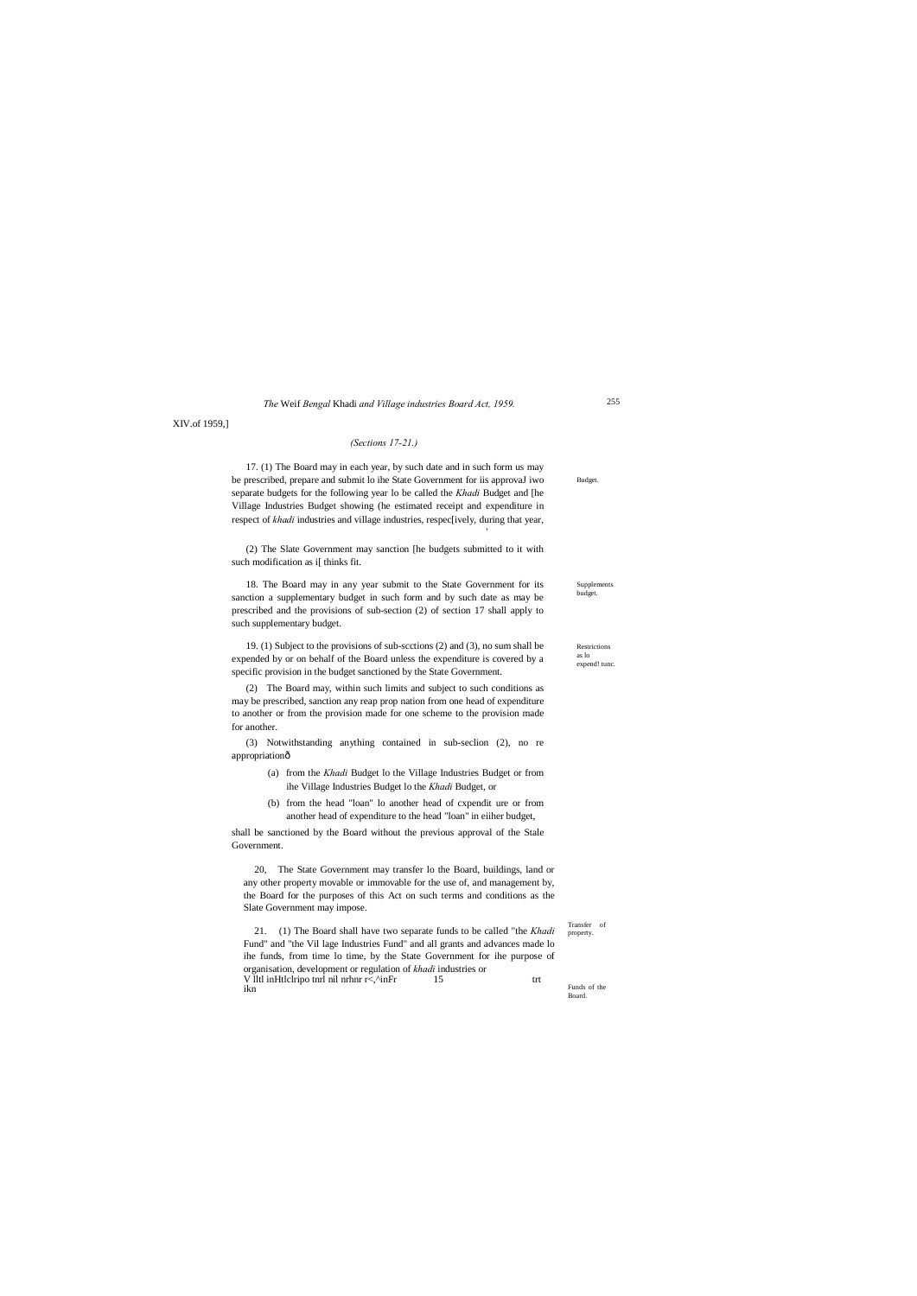Restrictions as lo expend! tunc

Supplements budget.

Budget.

Transfer of property.

Funds of the Board.

*The* Weif *Bengal* Khadi *and Village industries Board Act, 1959.*

XIV.of 1959,]

#### *(Sections 17-21.)*

17. (1) The Board may in each year, by such date and in such form us may be prescribed, prepare and submit lo ihe State Government for iis approvaJ iwo separate budgets for the following year lo be called the *Khadi* Budget and [he Village Industries Budget showing (he estimated receipt and expenditure in respect of *khadi* industries and village industries, respec[ively, during that year,

'

(2) The Slate Government may sanction [he budgets submitted to it with such modification as i[ thinks fit.

(3) Notwithstanding anything contained in sub-seclion (2), no re appropriationô

18. The Board may in any year submit to the State Government for its sanction a supplementary budget in such form and by such date as may be prescribed and the provisions of sub-section (2) of section 17 shall apply to such supplementary budget.

19. (1) Subject to the provisions of sub-scctions (2) and (3), no sum shall be expended by or on behalf of the Board unless the expenditure is covered by a specific provision in the budget sanctioned by the State Government.

V litl inHtlclripo tnrl nil nrhnr r<,<sup>\*</sup>inFr 15 trt ikn

(2) The Board may, within such limits and subject to such conditions as may be prescribed, sanction any reap prop nation from one head of expenditure to another or from the provision made for one scheme to the provision made for another.

- (a) from the *Khadi* Budget lo the Village Industries Budget or from ihe Village Industries Budget lo the *Khadi* Budget, or
- (b) from the head "loan" lo another head of cxpendit ure or from another head of expenditure to the head "loan" in eiiher budget,

shall be sanctioned by the Board without the previous approval of the Stale Government.

20, The State Government may transfer lo the Board, buildings, land or any other property movable or immovable for the use of, and management by, the Board for the purposes of this Act on such terms and conditions as the Slate Government may impose.

21. (1) The Board shall have two separate funds to be called "the *Khadi* Fund" and "the Vil lage Industries Fund" and all grants and advances made lo ihe funds, from time lo time, by the State Government for ihe purpose of organisation, development or regulation of *khadi* industries or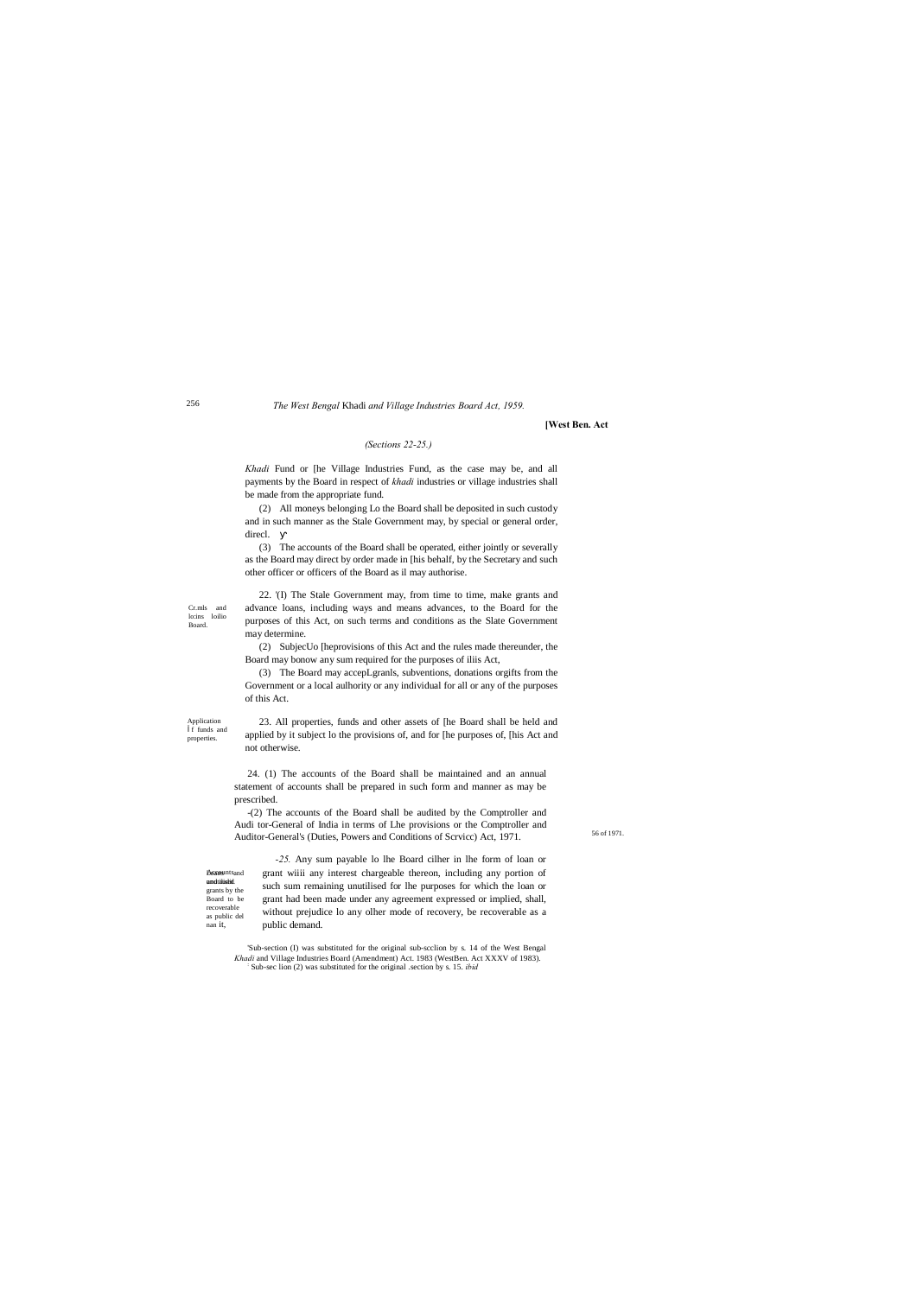Application f funds and properties

Cr.mls and lo:ins loilio Board.

56 of 1971.

**Becounts** and and tälüseid. grants by the Board to be recoverable as public del nan it,

#### *The West Bengal* Khadi *and Village Industries Board Act, 1959.*

#### **[West Ben. Act**

## *(Sections 22-25.)*

*Khadi* Fund or [he Village Industries Fund, as the case may be, and all payments by the Board in respect of *khadi* industries or village industries shall be made from the appropriate fund.

(2) All moneys belonging Lo the Board shall be deposited in such custody and in such manner as the Stale Government may, by special or general order, direcl.

(3) The accounts of the Board shall be operated, either jointly or severally as the Board may direct by order made in [his behalf, by the Secretary and such other officer or officers of the Board as il may authorise.

22. '(I) The Stale Government may, from time to time, make grants and advance loans, including ways and means advances, to the Board for the purposes of this Act, on such terms and conditions as the Slate Government may determine.

(2) SubjecUo [heprovisions of this Act and the rules made thereunder, the Board may bonow any sum required for the purposes of iliis Act,

(3) The Board may accepLgranls, subventions, donations orgifts from the Government or a local aulhority or any individual for all or any of the purposes of this Act.

23. All properties, funds and other assets of [he Board shall be held and applied by it subject lo the provisions of, and for [he purposes of, [his Act and not otherwise.

24. (1) The accounts of the Board shall be maintained and an annual statement of accounts shall be prepared in such form and manner as may be prescribed.

-(2) The accounts of the Board shall be audited by the Comptroller and Audi tor-General of India in terms of Lhe provisions or the Comptroller and Auditor-General's (Duties, Powers and Conditions of Scrvicc) Act, 1971.

*-25.* Any sum payable lo lhe Board cilher in lhe form of loan or grant wiiii any interest chargeable thereon, including any portion of such sum remaining unutilised for lhe purposes for which the loan or grant had been made under any agreement expressed or implied, shall, without prejudice lo any olher mode of recovery, be recoverable as a public demand.

'Sub-section (I) was substituted for the original sub-scclion by s. 14 of the West Bengal *Khadi* and Village Industries Board (Amendment) Act. 1983 (WestBen. Act XXXV of 1983). Sub-sec lion (2) was substituted for the original .section by s. 15. *ibid*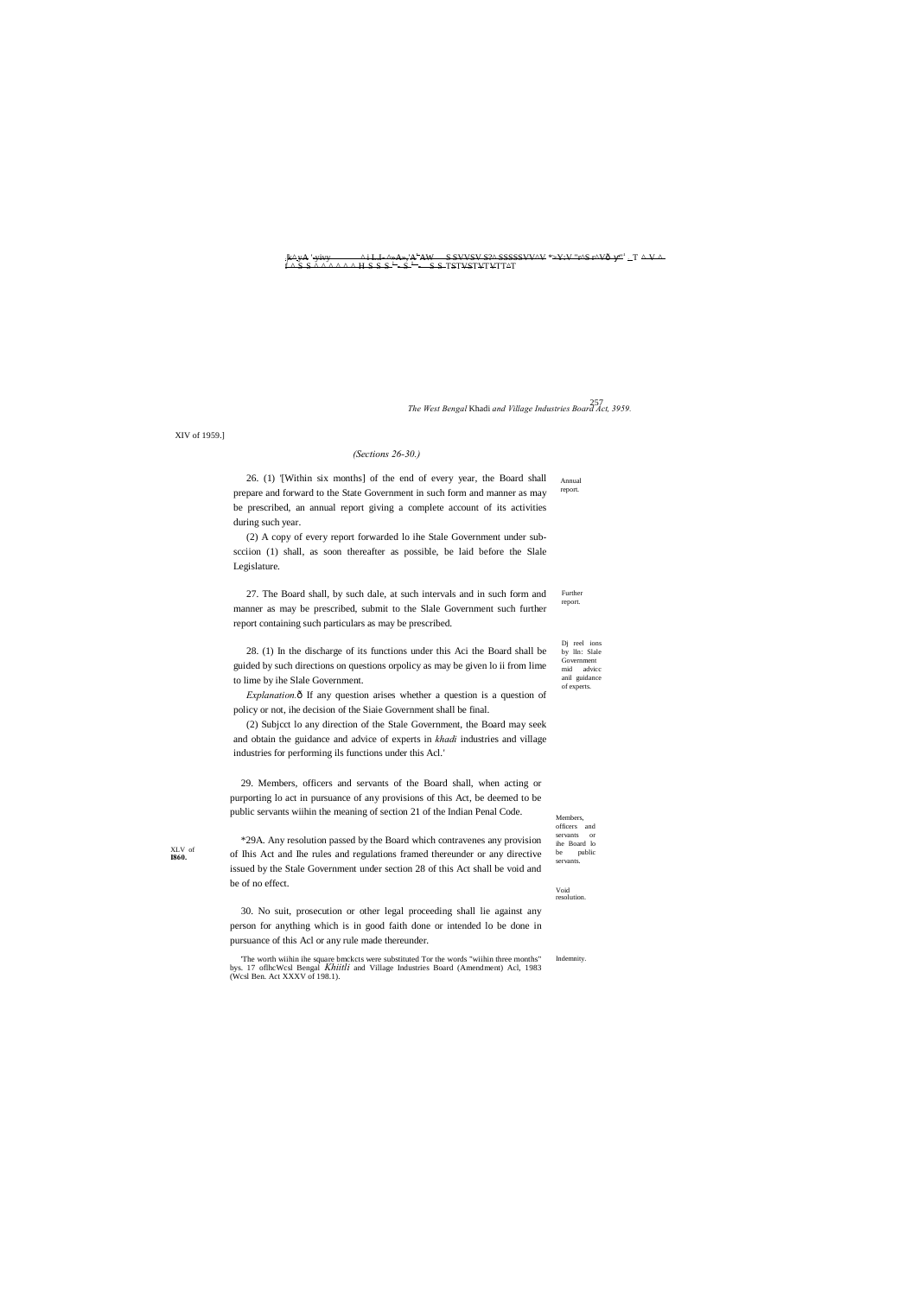Dj reel ions by lIn: Slale Government mid advicc anil guidance of experts.

Members, officers and servants or ihe Board lo public servan

XIV of 1959.]

XLV of **I860.**

Void resolution.

## *(Sections 26-30.)*

Annual report. 26. (1) '[Within six months] of the end of every year, the Board shall prepare and forward to the State Government in such form and manner as may be prescribed, an annual report giving a complete account of its activities during such year.

Further report. 27. The Board shall, by such dale, at such intervals and in such form and manner as may be prescribed, submit to the Slale Government such further report containing such particulars as may be prescribed.

(2) A copy of every report forwarded lo ihe Stale Government under subscciion (1) shall, as soon thereafter as possible, be laid before the Slale Legislature.

*Explanation.* $\hat{o}$  If any question arises whether a question is a question of policy or not, ihe decision of the Siaie Government shall be final.

28. (1) In the discharge of its functions under this Aci the Board shall be guided by such directions on questions orpolicy as may be given lo ii from lime to lime by ihe Slale Government.

:|k^:yA '-yivy ^ i L.I- ^»A»,'A<sup>L</sup> AW S SVVSV S?^ SSSSSVV^V \*>Y:V "r^S r^V— " <sup>1</sup> : T ^ V ^  $\frac{1}{2}$   $\frac{1}{2}$   $\frac{1}{2}$   $\frac{1}{2}$   $\frac{1}{2}$   $\frac{1}{2}$   $\frac{1}{2}$   $\frac{1}{2}$   $\frac{1}{2}$   $\frac{1}{2}$   $\frac{1}{2}$   $\frac{1}{2}$   $\frac{1}{2}$   $\frac{1}{2}$   $\frac{1}{2}$   $\frac{1}{2}$   $\frac{1}{2}$   $\frac{1}{2}$   $\frac{1}{2}$   $\frac{1}{2}$   $\frac{1}{2}$   $\frac{1}{2}$ 

Indemnity. 'The worth wiihin ihe square bmckcts were substituted Tor the words "wiihin three months" bys. 17 oflhcWcsl Bengal *Khiitli* and Village Industries Board (Amendment) Acl, 1983 (Wcsl Ben. Act XXXV of 198.1).

257 *The West Bengal* Khadi *and Village Industries Board Act, 3959.*

(2) Subjcct lo any direction of the Stale Government, the Board may seek and obtain the guidance and advice of experts in *khadi* industries and village industries for performing ils functions under this Acl.'

29. Members, officers and servants of the Board shall, when acting or purporting lo act in pursuance of any provisions of this Act, be deemed to be public servants wiihin the meaning of section 21 of the Indian Penal Code.

\*29A. Any resolution passed by the Board which contravenes any provision of Ihis Act and Ihe rules and regulations framed thereunder or any directive issued by the Stale Government under section 28 of this Act shall be void and be of no effect.

30. No suit, prosecution or other legal proceeding shall lie against any person for anything which is in good faith done or intended lo be done in pursuance of this Acl or any rule made thereunder.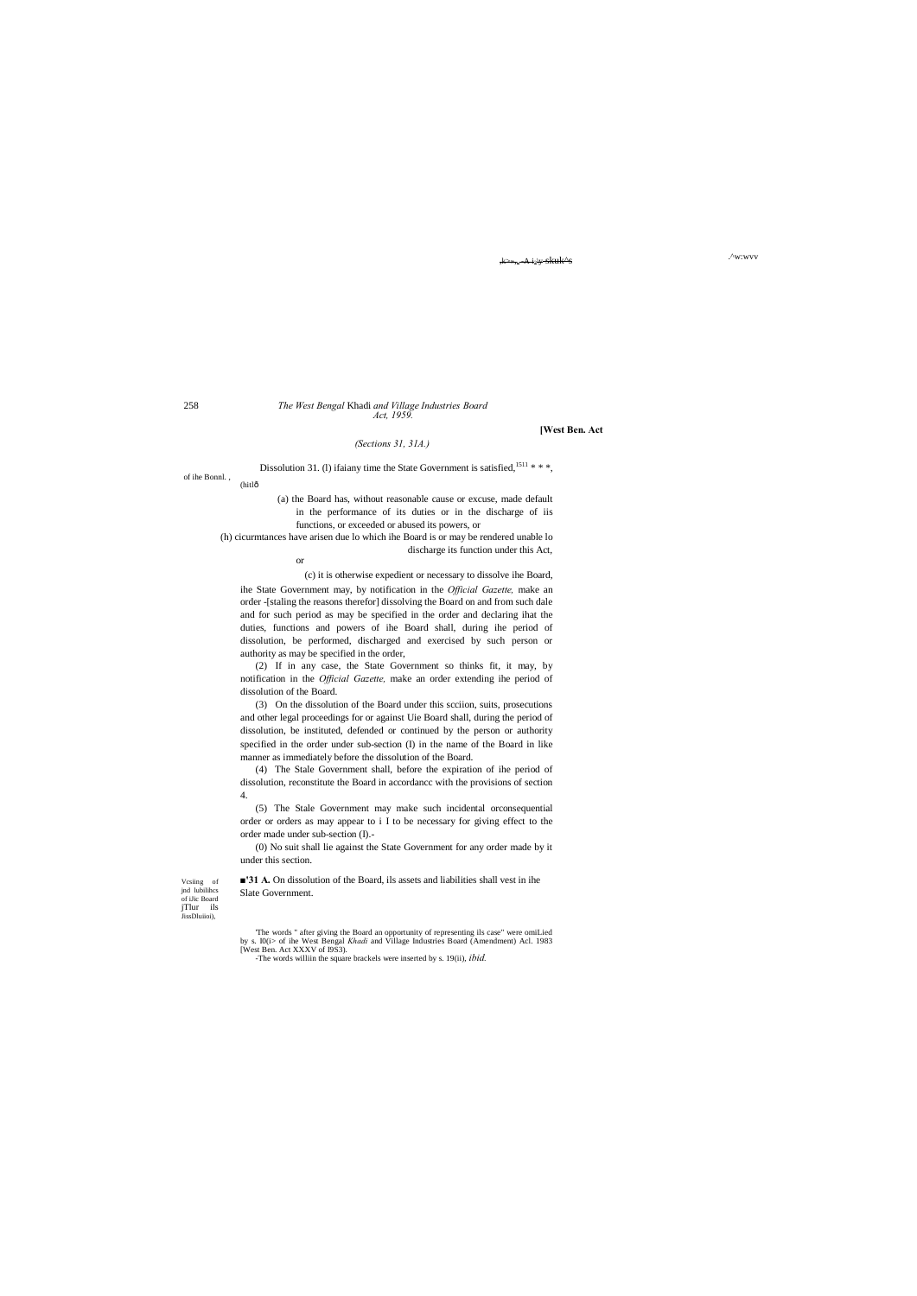Vcsiing of jnd lubilihcs of iJic Board<br>jTlur ils JissDluiioi),

The words " after giving the Board an opportunity of representing ils case" were omiLied by s. I0(i> of ihe West Bengal *Khadi* and Village Industries Board (Amendment) Acl. 1983 [West Ben. Act XXXV of I9S3).

.^w:wvv ,k>»,v -A i?\y skuk^s

#### 258 *The West Bengal* Khadi *and Village Industries Board Act, 1959.*

of ihe Bonnl. , (hitlô

#### **[West Ben. Act**

Dissolution 31. (1) ifaiany time the State Government is satisfied,  $1511$  \* \* \*,

*(Sections 31, 31A.)*

(a) the Board has, without reasonable cause or excuse, made default in the performance of its duties or in the discharge of iis functions, or exceeded or abused its powers, or

(h) cicurmtances have arisen due lo which ihe Board is or may be rendered unable lo discharge its function under this Act,

or

(c) it is otherwise expedient or necessary to dissolve ihe Board, ihe State Government may, by notification in the *Official Gazette,* make an order -[staling the reasons therefor] dissolving the Board on and from such dale and for such period as may be specified in the order and declaring ihat the duties, functions and powers of ihe Board shall, during ihe period of dissolution, be performed, discharged and exercised by such person or authority as may be specified in the order,

(2) If in any case, the State Government so thinks fit, it may, by notification in the *Official Gazette,* make an order extending ihe period of dissolution of the Board.

(3) On the dissolution of the Board under this scciion, suits, prosecutions and other legal proceedings for or against Uie Board shall, during the period of dissolution, be instituted, defended or continued by the person or authority specified in the order under sub-section (I) in the name of the Board in like manner as immediately before the dissolution of the Board.

(4) The Stale Government shall, before the expiration of ihe period of dissolution, reconstitute the Board in accordancc with the provisions of section 4.

(5) The Stale Government may make such incidental orconsequential order or orders as may appear to i I to be necessary for giving effect to the order made under sub-section (I).-

(0) No suit shall lie against the State Government for any order made by it under this section.

**■'31 A.** On dissolution of the Board, ils assets and liabilities shall vest in ihe Slate Government.

-The words williin the square brackels were inserted by s. 19(ii), *ibid.*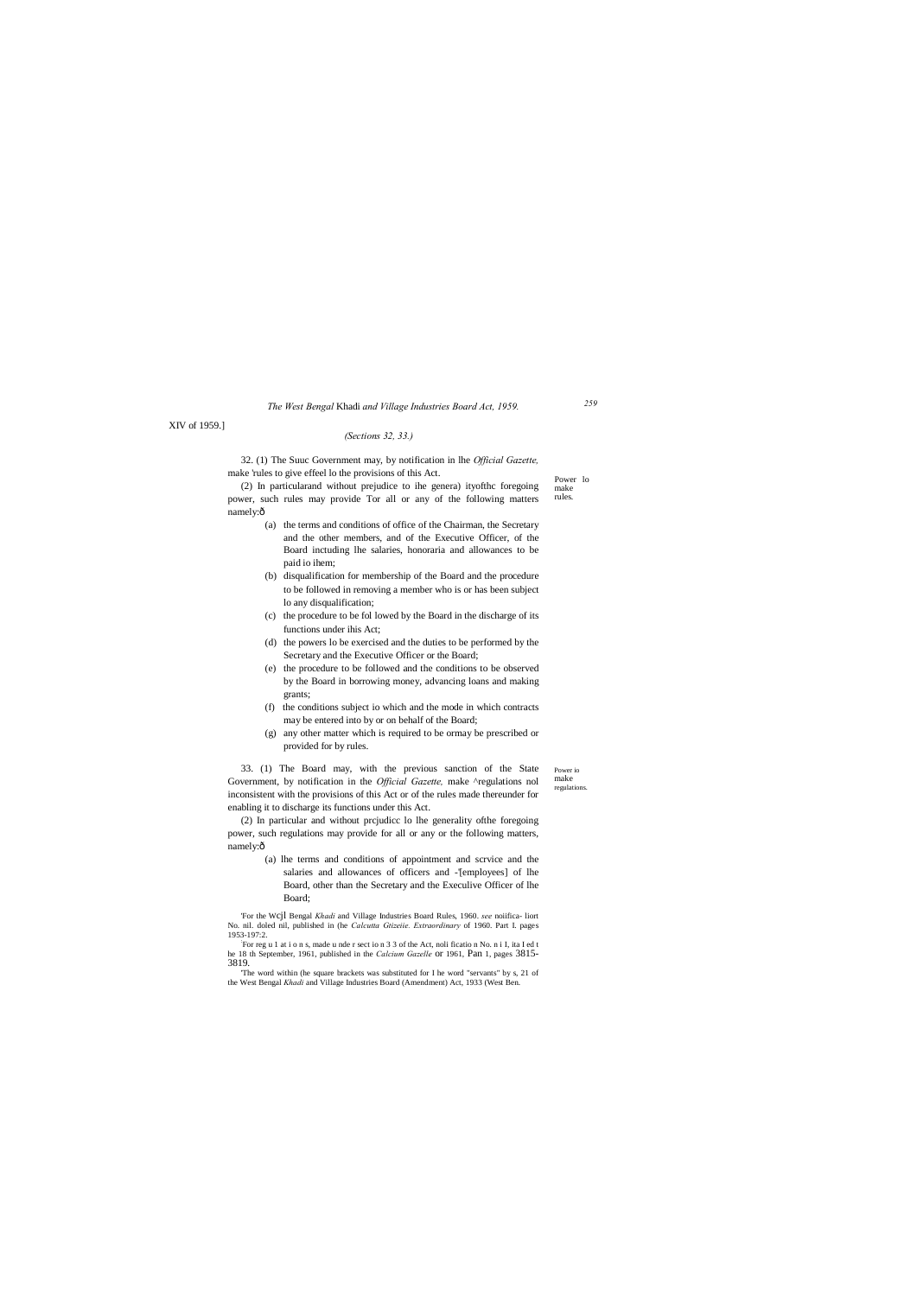Power io make regulations.

Power lo make rules.

#### *The West Bengal* Khadi *and Village Industries Board Act, 1959.*

## XIV of 1959.]

(2) In particularand without prejudice to ihe genera) ityofthc foregoing power, such rules may provide Tor all or any of the following matters namely:ô

#### *(Sections 32, 33.)*

32. (1) The Suuc Government may, by notification in lhe *Official Gazette,* make 'rules to give effeel lo the provisions of this Act.

(2) In particular and without prcjudicc lo lhe generality ofthe foregoing power, such regulations may provide for all or any or the following matters, namely:ô

- (a) the terms and conditions of office of the Chairman, the Secretary and the other members, and of the Executive Officer, of the Board inctuding lhe salaries, honoraria and allowances to be paid io ihem;
- (b) disqualification for membership of the Board and the procedure to be followed in removing a member who is or has been subject lo any disqualification;
- (c) the procedure to be fol lowed by the Board in the discharge of its functions under ihis Act;
- (d) the powers lo be exercised and the duties to be performed by the Secretary and the Executive Officer or the Board;
- (e) the procedure to be followed and the conditions to be observed by the Board in borrowing money, advancing loans and making grants;
- (f) the conditions subject io which and the mode in which contracts may be entered into by or on behalf of the Board;
- (g) any other matter which is required to be ormay be prescribed or provided for by rules.

33. (1) The Board may, with the previous sanction of the State Government, by notification in the *Official Gazette,* make ^regulations nol inconsistent with the provisions of this Act or of the rules made thereunder for enabling it to discharge its functions under this Act.

> (a) lhe terms and conditions of appointment and scrvice and the salaries and allowances of officers and -'[employees] of lhe Board, other than the Secretary and the Execulive Officer of lhe Board;

'For the Wcjl Bengal *Khadi* and Village Industries Board Rules, 1960. *see* noiifica- liort No. nil. doled nil, published in (he *Calcutta Gtizeiie. Extraordinary* of 1960. Part I. pages 1953-197:2. :

For reg u 1 at i o n s, made u nde r sect io n 3 3 of the Act, noli ficatio n No. n i I, ita I ed t he 18 th September, 1961, published in the *Calcium Gazelle* or 1961, Pan 1, pages 3815- 3819.

'The word within (he square brackets was substituted for I he word "servants" by s, 21 of

the West Bengal *Khadi* and Village Industries Board (Amendment) Act, 1933 (West Ben.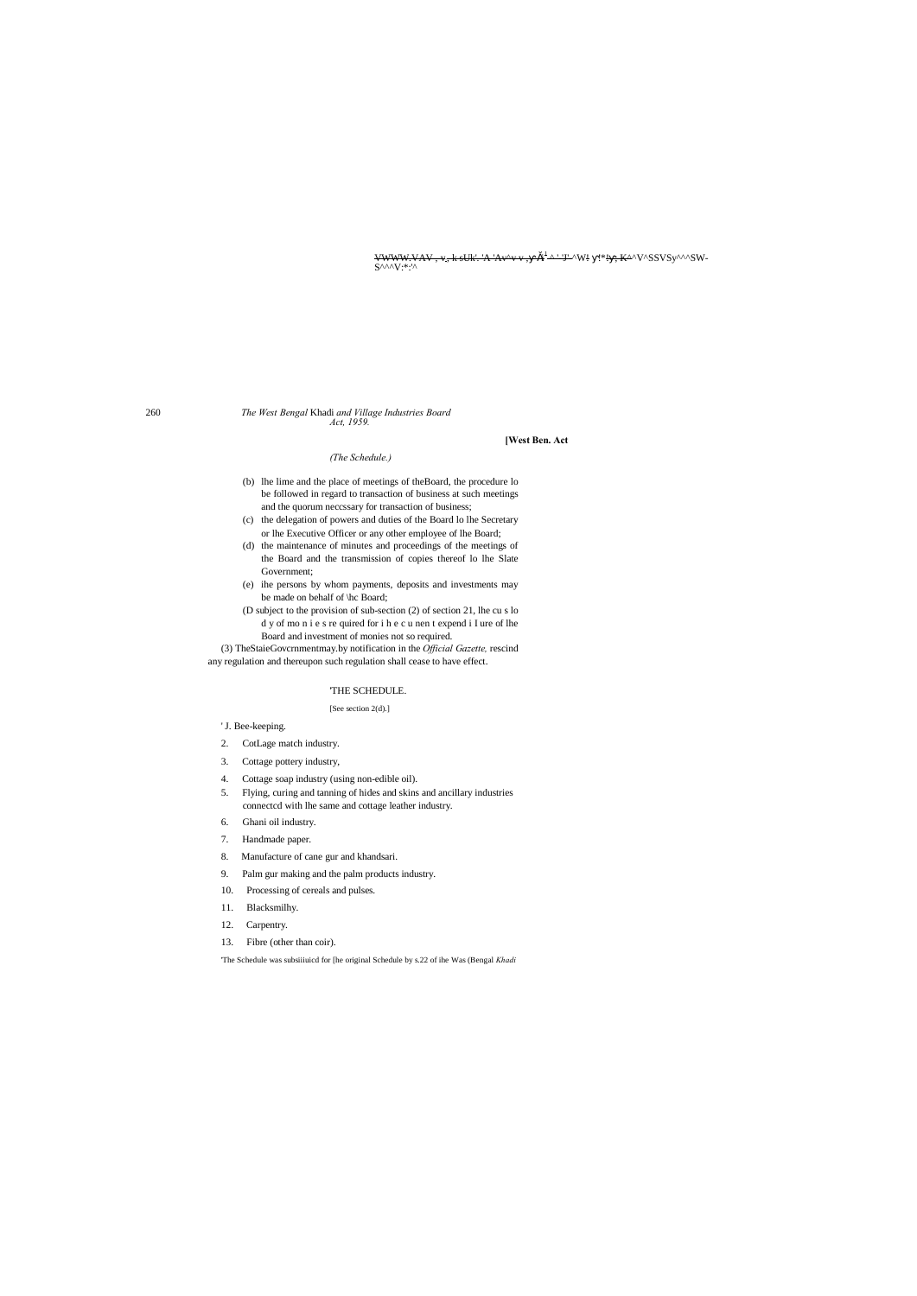<del>[VWWW.VAV](http://www.vav/) , v., k sUk'. 'A 'Av^v v , - ši<sup>t</sup>-^ '-'J'-</del>^W! = !\*<del>! -; K^</del>^V^SSVSy^^^SW-<br>S^^^V:\*:'^

260 *The West Bengal* Khadi *and Village Industries Board Act, 1959.*

#### **[West Ben. Act**

#### *(The Schedule.)*

- (b) lhe lime and the place of meetings of theBoard, the procedure lo be followed in regard to transaction of business at such meetings and the quorum neccssary for transaction of business;
- (c) the delegation of powers and duties of the Board lo lhe Secretary or lhe Executive Officer or any other employee of lhe Board;
- (d) the maintenance of minutes and proceedings of the meetings of the Board and the transmission of copies thereof lo lhe Slate Government;
- (e) ihe persons by whom payments, deposits and investments may be made on behalf of \hc Board;
- (D subject to the provision of sub-section (2) of section 21, lhe cu s lo d y of mo n i e s re quired for i h e c u nen t expend i I ure of lhe Board and investment of monies not so required.

(3) TheStaieGovcrnmentmay.by notification in the *Official Gazette,* rescind any regulation and thereupon such regulation shall cease to have effect.

#### 'THE SCHEDULE.

#### [See section 2(d).]

#### ' J. Bee-keeping.

- 2. CotLage match industry.
- 3. Cottage pottery industry,
- 4. Cottage soap industry (using non-edible oil).
- 5. Flying, curing and tanning of hides and skins and ancillary industries connectcd with lhe same and cottage leather industry.
- 6. Ghani oil industry.
- 7. Handmade paper.
- 8. Manufacture of cane gur and khandsari.
- 9. Palm gur making and the palm products industry.
- 10. Processing of cereals and pulses.
- 11. Blacksmilhy.
- 12. Carpentry.
- 13. Fibre (other than coir).

'The Schedule was subsiiiuicd for [he original Schedule by s.22 of ihe Was (Bengal *Khadi*